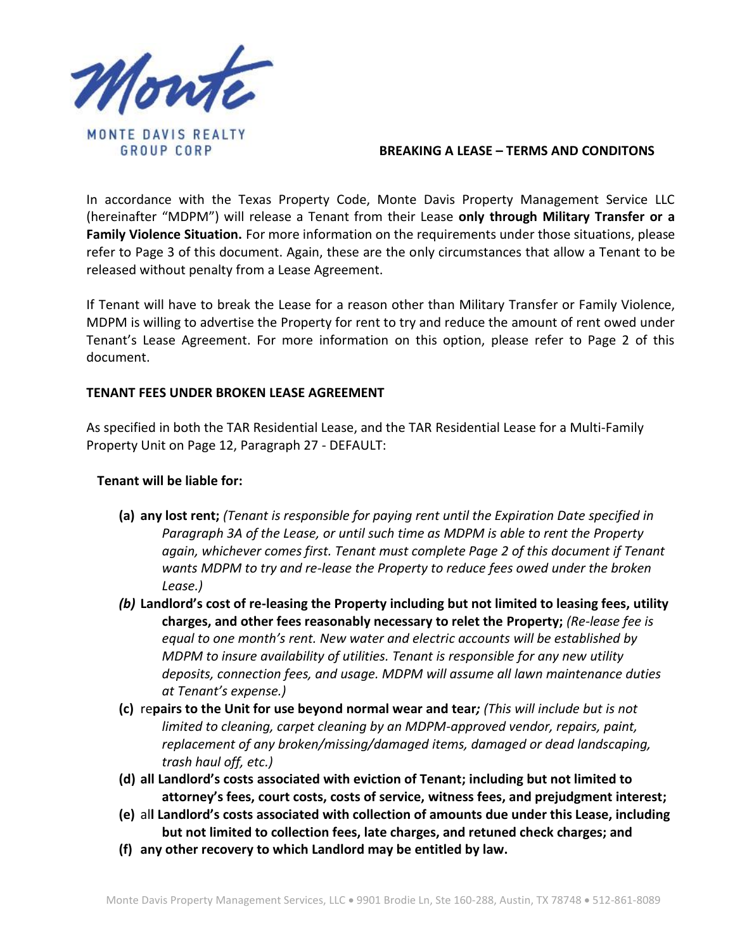

## **BREAKING A LEASE – TERMS AND CONDITONS**

In accordance with the Texas Property Code, Monte Davis Property Management Service LLC (hereinafter "MDPM") will release a Tenant from their Lease **only through Military Transfer or a Family Violence Situation.** For more information on the requirements under those situations, please refer to Page 3 of this document. Again, these are the only circumstances that allow a Tenant to be released without penalty from a Lease Agreement.

If Tenant will have to break the Lease for a reason other than Military Transfer or Family Violence, MDPM is willing to advertise the Property for rent to try and reduce the amount of rent owed under Tenant's Lease Agreement. For more information on this option, please refer to Page 2 of this document.

## **TENANT FEES UNDER BROKEN LEASE AGREEMENT**

As specified in both the TAR Residential Lease, and the TAR Residential Lease for a Multi-Family Property Unit on Page 12, Paragraph 27 - DEFAULT:

#### **Tenant will be liable for:**

- **(a) any lost rent;** *(Tenant is responsible for paying rent until the Expiration Date specified in Paragraph 3A of the Lease, or until such time as MDPM is able to rent the Property again, whichever comes first. Tenant must complete Page 2 of this document if Tenant wants MDPM to try and re-lease the Property to reduce fees owed under the broken Lease.)*
- *(b)* **Landlord's cost of re-leasing the Property including but not limited to leasing fees, utility charges, and other fees reasonably necessary to relet the Property;** *(Re-lease fee is equal to one month's rent. New water and electric accounts will be established by MDPM to insure availability of utilities. Tenant is responsible for any new utility deposits, connection fees, and usage. MDPM will assume all lawn maintenance duties at Tenant's expense.)*
- **(c)** re**pairs to the Unit for use beyond normal wear and tear***; (This will include but is not limited to cleaning, carpet cleaning by an MDPM-approved vendor, repairs, paint, replacement of any broken/missing/damaged items, damaged or dead landscaping, trash haul off, etc.)*
- **(d) all Landlord's costs associated with eviction of Tenant; including but not limited to attorney's fees, court costs, costs of service, witness fees, and prejudgment interest;**
- **(e)** al**l Landlord's costs associated with collection of amounts due under this Lease, including but not limited to collection fees, late charges, and retuned check charges; and**
- **(f) any other recovery to which Landlord may be entitled by law.**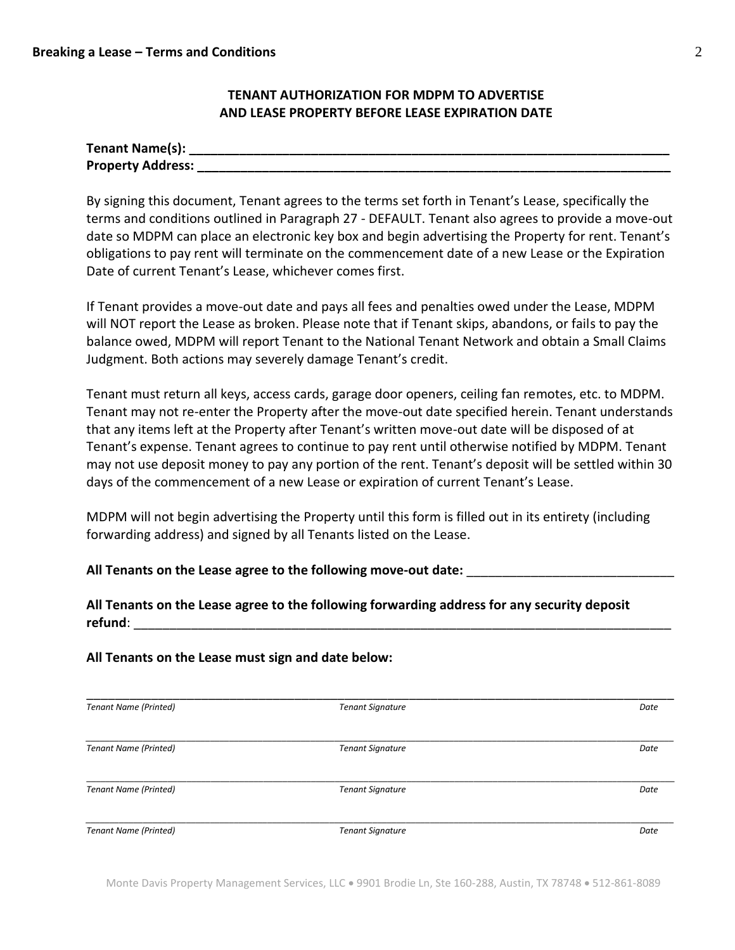## **TENANT AUTHORIZATION FOR MDPM TO ADVERTISE AND LEASE PROPERTY BEFORE LEASE EXPIRATION DATE**

| Tenant Name(s):          |  |
|--------------------------|--|
| <b>Property Address:</b> |  |

By signing this document, Tenant agrees to the terms set forth in Tenant's Lease, specifically the terms and conditions outlined in Paragraph 27 - DEFAULT. Tenant also agrees to provide a move-out date so MDPM can place an electronic key box and begin advertising the Property for rent. Tenant's obligations to pay rent will terminate on the commencement date of a new Lease or the Expiration Date of current Tenant's Lease, whichever comes first.

If Tenant provides a move-out date and pays all fees and penalties owed under the Lease, MDPM will NOT report the Lease as broken. Please note that if Tenant skips, abandons, or fails to pay the balance owed, MDPM will report Tenant to the National Tenant Network and obtain a Small Claims Judgment. Both actions may severely damage Tenant's credit.

Tenant must return all keys, access cards, garage door openers, ceiling fan remotes, etc. to MDPM. Tenant may not re-enter the Property after the move-out date specified herein. Tenant understands that any items left at the Property after Tenant's written move-out date will be disposed of at Tenant's expense. Tenant agrees to continue to pay rent until otherwise notified by MDPM. Tenant may not use deposit money to pay any portion of the rent. Tenant's deposit will be settled within 30 days of the commencement of a new Lease or expiration of current Tenant's Lease.

MDPM will not begin advertising the Property until this form is filled out in its entirety (including forwarding address) and signed by all Tenants listed on the Lease.

**All Tenants on the Lease agree to the following move-out date:** \_\_\_\_\_\_\_\_\_\_\_\_\_\_\_\_\_\_\_\_\_\_\_\_\_\_\_\_\_

# **All Tenants on the Lease agree to the following forwarding address for any security deposit refund**: \_\_\_\_\_\_\_\_\_\_\_\_\_\_\_\_\_\_\_\_\_\_\_\_\_\_\_\_\_\_\_\_\_\_\_\_\_\_\_\_\_\_\_\_\_\_\_\_\_\_\_\_\_\_\_\_\_\_\_\_\_\_\_\_\_\_\_\_\_\_\_\_\_\_\_

## **All Tenants on the Lease must sign and date below:**

| <b>Tenant Name (Printed)</b> | <b>Tenant Signature</b> | Date |
|------------------------------|-------------------------|------|
|                              |                         |      |
| <b>Tenant Name (Printed)</b> | <b>Tenant Signature</b> | Date |
|                              |                         |      |
| <b>Tenant Name (Printed)</b> | <b>Tenant Signature</b> | Date |
|                              |                         |      |
| <b>Tenant Name (Printed)</b> | <b>Tenant Signature</b> | Date |

Monte Davis Property Management Services, LLC • 9901 Brodie Ln, Ste 160-288, Austin, TX 78748 • 512-861-8089